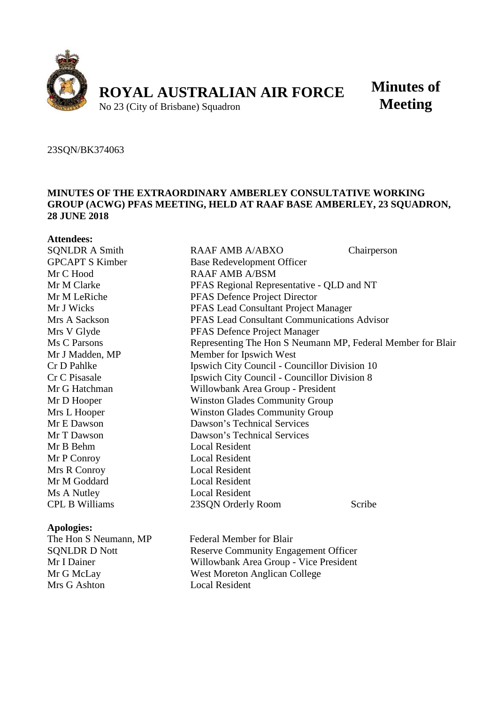

# **Minutes of Meeting**

#### 23SQN/BK374063

## **MINUTES OF THE EXTRAORDINARY AMBERLEY CONSULTATIVE WORKING GROUP (ACWG) PFAS MEETING, HELD AT RAAF BASE AMBERLEY, 23 SQUADRON, 28 JUNE 2018**

| <b>Attendees:</b>                                                                                                                                             |                                                             |             |
|---------------------------------------------------------------------------------------------------------------------------------------------------------------|-------------------------------------------------------------|-------------|
| <b>SQNLDR A Smith</b>                                                                                                                                         | RAAF AMB A/ABXO                                             | Chairperson |
| <b>GPCAPT S Kimber</b>                                                                                                                                        | Base Redevelopment Officer                                  |             |
| Mr C Hood                                                                                                                                                     | <b>RAAF AMB A/BSM</b>                                       |             |
| Mr M Clarke                                                                                                                                                   | PFAS Regional Representative - QLD and NT                   |             |
| Mr M LeRiche                                                                                                                                                  | PFAS Defence Project Director                               |             |
| Mr J Wicks                                                                                                                                                    | PFAS Lead Consultant Project Manager                        |             |
| Mrs A Sackson                                                                                                                                                 | PFAS Lead Consultant Communications Advisor                 |             |
| Mrs V Glyde                                                                                                                                                   | PFAS Defence Project Manager                                |             |
| Ms C Parsons                                                                                                                                                  | Representing The Hon S Neumann MP, Federal Member for Blair |             |
| Mr J Madden, MP                                                                                                                                               | Member for Ipswich West                                     |             |
| Cr D Pahlke                                                                                                                                                   | Ipswich City Council - Councillor Division 10               |             |
| Cr C Pisasale                                                                                                                                                 | Ipswich City Council - Councillor Division 8                |             |
| Mr G Hatchman                                                                                                                                                 | Willowbank Area Group - President                           |             |
| Mr D Hooper                                                                                                                                                   | <b>Winston Glades Community Group</b>                       |             |
| Mrs L Hooper                                                                                                                                                  | <b>Winston Glades Community Group</b>                       |             |
| Mr E Dawson                                                                                                                                                   | Dawson's Technical Services                                 |             |
| Mr T Dawson                                                                                                                                                   | Dawson's Technical Services                                 |             |
| Mr B Behm                                                                                                                                                     | <b>Local Resident</b>                                       |             |
| Mr P Conroy                                                                                                                                                   | <b>Local Resident</b>                                       |             |
| Mrs R Conroy                                                                                                                                                  | <b>Local Resident</b>                                       |             |
| Mr M Goddard                                                                                                                                                  | <b>Local Resident</b>                                       |             |
| Ms A Nutley                                                                                                                                                   | <b>Local Resident</b>                                       |             |
| <b>CPL B Williams</b>                                                                                                                                         | 23SQN Orderly Room                                          | Scribe      |
| <b>Apologies:</b>                                                                                                                                             |                                                             |             |
| The Hon S Neumann, MP                                                                                                                                         | <b>Federal Member for Blair</b>                             |             |
| $0$ $0$ $\overline{1}$ $\overline{1}$ $\overline{1}$ $\overline{1}$ $\overline{1}$ $\overline{1}$ $\overline{1}$ $\overline{1}$ $\overline{1}$ $\overline{1}$ | $\sim$ $\sim$ $\sim$ $\sim$                                 |             |

Mrs G Ashton

SQNLDR D Nott Reserve Community Engagement Officer Mr I Dainer Willowbank Area Group - Vice President Mr G McLay West Moreton Anglican College<br>Mrs G Ashton Local Resident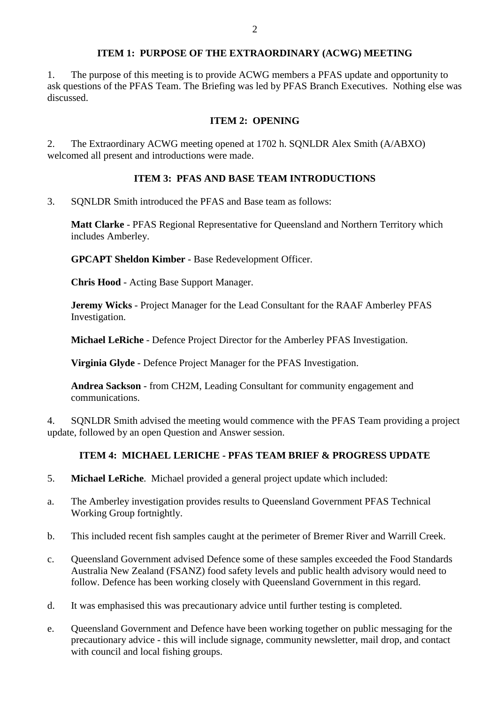# **ITEM 1: PURPOSE OF THE EXTRAORDINARY (ACWG) MEETING**

1. The purpose of this meeting is to provide ACWG members a PFAS update and opportunity to ask questions of the PFAS Team. The Briefing was led by PFAS Branch Executives. Nothing else was discussed.

## **ITEM 2: OPENING**

2. The Extraordinary ACWG meeting opened at 1702 h. SQNLDR Alex Smith (A/ABXO) welcomed all present and introductions were made.

# **ITEM 3: PFAS AND BASE TEAM INTRODUCTIONS**

3. SQNLDR Smith introduced the PFAS and Base team as follows:

**Matt Clarke** - PFAS Regional Representative for Queensland and Northern Territory which includes Amberley.

**GPCAPT Sheldon Kimber** - Base Redevelopment Officer.

**Chris Hood** - Acting Base Support Manager.

**Jeremy Wicks** - Project Manager for the Lead Consultant for the RAAF Amberley PFAS Investigation.

**Michael LeRiche** - Defence Project Director for the Amberley PFAS Investigation.

**Virginia Glyde** - Defence Project Manager for the PFAS Investigation.

**Andrea Sackson** - from CH2M, Leading Consultant for community engagement and communications.

4. SQNLDR Smith advised the meeting would commence with the PFAS Team providing a project update, followed by an open Question and Answer session.

# **ITEM 4: MICHAEL LERICHE - PFAS TEAM BRIEF & PROGRESS UPDATE**

- 5. **Michael LeRiche**. Michael provided a general project update which included:
- a. The Amberley investigation provides results to Queensland Government PFAS Technical Working Group fortnightly.
- b. This included recent fish samples caught at the perimeter of Bremer River and Warrill Creek.
- c. Queensland Government advised Defence some of these samples exceeded the Food Standards Australia New Zealand (FSANZ) food safety levels and public health advisory would need to follow. Defence has been working closely with Queensland Government in this regard.
- d. It was emphasised this was precautionary advice until further testing is completed.
- e. Queensland Government and Defence have been working together on public messaging for the precautionary advice - this will include signage, community newsletter, mail drop, and contact with council and local fishing groups.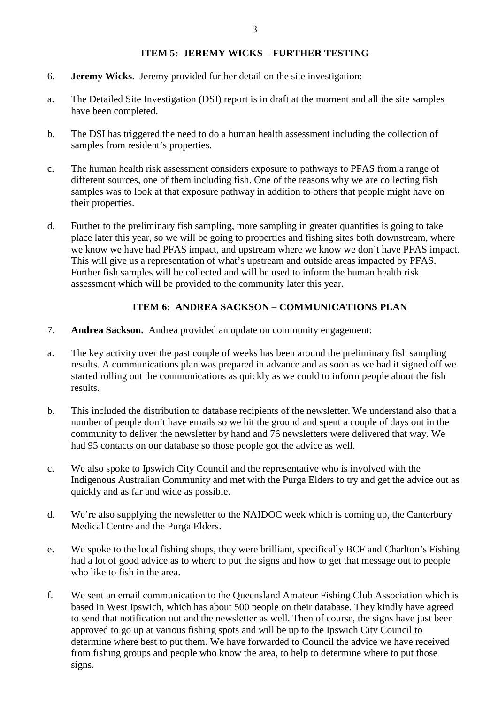## **ITEM 5: JEREMY WICKS – FURTHER TESTING**

- 6. **Jeremy Wicks**. Jeremy provided further detail on the site investigation:
- a. The Detailed Site Investigation (DSI) report is in draft at the moment and all the site samples have been completed.
- b. The DSI has triggered the need to do a human health assessment including the collection of samples from resident's properties.
- c. The human health risk assessment considers exposure to pathways to PFAS from a range of different sources, one of them including fish. One of the reasons why we are collecting fish samples was to look at that exposure pathway in addition to others that people might have on their properties.
- d. Further to the preliminary fish sampling, more sampling in greater quantities is going to take place later this year, so we will be going to properties and fishing sites both downstream, where we know we have had PFAS impact, and upstream where we know we don't have PFAS impact. This will give us a representation of what's upstream and outside areas impacted by PFAS. Further fish samples will be collected and will be used to inform the human health risk assessment which will be provided to the community later this year.

# **ITEM 6: ANDREA SACKSON – COMMUNICATIONS PLAN**

- 7. **Andrea Sackson.** Andrea provided an update on community engagement:
- a. The key activity over the past couple of weeks has been around the preliminary fish sampling results. A communications plan was prepared in advance and as soon as we had it signed off we started rolling out the communications as quickly as we could to inform people about the fish results.
- b. This included the distribution to database recipients of the newsletter. We understand also that a number of people don't have emails so we hit the ground and spent a couple of days out in the community to deliver the newsletter by hand and 76 newsletters were delivered that way. We had 95 contacts on our database so those people got the advice as well.
- c. We also spoke to Ipswich City Council and the representative who is involved with the Indigenous Australian Community and met with the Purga Elders to try and get the advice out as quickly and as far and wide as possible.
- d. We're also supplying the newsletter to the NAIDOC week which is coming up, the Canterbury Medical Centre and the Purga Elders.
- e. We spoke to the local fishing shops, they were brilliant, specifically BCF and Charlton's Fishing had a lot of good advice as to where to put the signs and how to get that message out to people who like to fish in the area.
- f. We sent an email communication to the Queensland Amateur Fishing Club Association which is based in West Ipswich, which has about 500 people on their database. They kindly have agreed to send that notification out and the newsletter as well. Then of course, the signs have just been approved to go up at various fishing spots and will be up to the Ipswich City Council to determine where best to put them. We have forwarded to Council the advice we have received from fishing groups and people who know the area, to help to determine where to put those signs.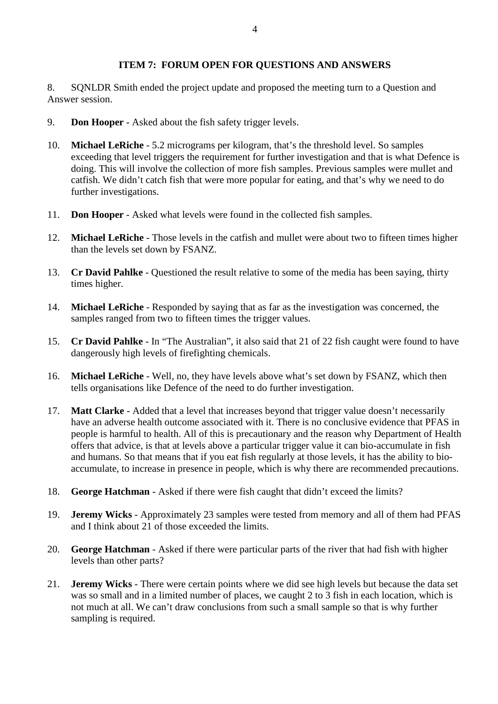### **ITEM 7: FORUM OPEN FOR QUESTIONS AND ANSWERS**

8. SQNLDR Smith ended the project update and proposed the meeting turn to a Question and Answer session.

- 9. **Don Hooper** Asked about the fish safety trigger levels.
- 10. **Michael LeRiche** 5.2 micrograms per kilogram, that's the threshold level. So samples exceeding that level triggers the requirement for further investigation and that is what Defence is doing. This will involve the collection of more fish samples. Previous samples were mullet and catfish. We didn't catch fish that were more popular for eating, and that's why we need to do further investigations.
- 11. **Don Hooper** Asked what levels were found in the collected fish samples.
- 12. **Michael LeRiche** Those levels in the catfish and mullet were about two to fifteen times higher than the levels set down by FSANZ.
- 13. **Cr David Pahlke** Questioned the result relative to some of the media has been saying, thirty times higher.
- 14. **Michael LeRiche** Responded by saying that as far as the investigation was concerned, the samples ranged from two to fifteen times the trigger values.
- 15. **Cr David Pahlke** In "The Australian", it also said that 21 of 22 fish caught were found to have dangerously high levels of firefighting chemicals.
- 16. **Michael LeRiche** Well, no, they have levels above what's set down by FSANZ, which then tells organisations like Defence of the need to do further investigation.
- 17. **Matt Clarke** Added that a level that increases beyond that trigger value doesn't necessarily have an adverse health outcome associated with it. There is no conclusive evidence that PFAS in people is harmful to health. All of this is precautionary and the reason why Department of Health offers that advice, is that at levels above a particular trigger value it can bio-accumulate in fish and humans. So that means that if you eat fish regularly at those levels, it has the ability to bioaccumulate, to increase in presence in people, which is why there are recommended precautions.
- 18. **George Hatchman** Asked if there were fish caught that didn't exceed the limits?
- 19. **Jeremy Wicks** Approximately 23 samples were tested from memory and all of them had PFAS and I think about 21 of those exceeded the limits.
- 20. **George Hatchman** Asked if there were particular parts of the river that had fish with higher levels than other parts?
- 21. **Jeremy Wicks** There were certain points where we did see high levels but because the data set was so small and in a limited number of places, we caught 2 to 3 fish in each location, which is not much at all. We can't draw conclusions from such a small sample so that is why further sampling is required.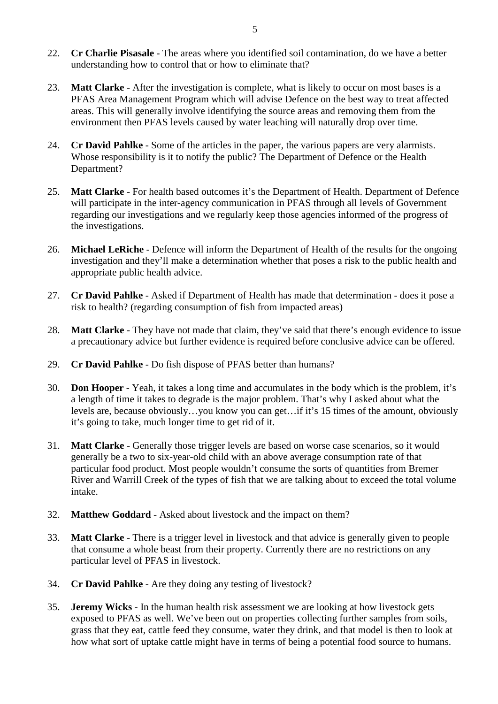- 22. **Cr Charlie Pisasale** The areas where you identified soil contamination, do we have a better understanding how to control that or how to eliminate that?
- 23. **Matt Clarke** After the investigation is complete, what is likely to occur on most bases is a PFAS Area Management Program which will advise Defence on the best way to treat affected areas. This will generally involve identifying the source areas and removing them from the environment then PFAS levels caused by water leaching will naturally drop over time.
- 24. **Cr David Pahlke** Some of the articles in the paper, the various papers are very alarmists. Whose responsibility is it to notify the public? The Department of Defence or the Health Department?
- 25. **Matt Clarke** For health based outcomes it's the Department of Health. Department of Defence will participate in the inter-agency communication in PFAS through all levels of Government regarding our investigations and we regularly keep those agencies informed of the progress of the investigations.
- 26. **Michael LeRiche** Defence will inform the Department of Health of the results for the ongoing investigation and they'll make a determination whether that poses a risk to the public health and appropriate public health advice.
- 27. **Cr David Pahlke** Asked if Department of Health has made that determination does it pose a risk to health? (regarding consumption of fish from impacted areas)
- 28. **Matt Clarke** They have not made that claim, they've said that there's enough evidence to issue a precautionary advice but further evidence is required before conclusive advice can be offered.
- 29. **Cr David Pahlke** Do fish dispose of PFAS better than humans?
- 30. **Don Hooper** Yeah, it takes a long time and accumulates in the body which is the problem, it's a length of time it takes to degrade is the major problem. That's why I asked about what the levels are, because obviously…you know you can get…if it's 15 times of the amount, obviously it's going to take, much longer time to get rid of it.
- 31. **Matt Clarke** Generally those trigger levels are based on worse case scenarios, so it would generally be a two to six-year-old child with an above average consumption rate of that particular food product. Most people wouldn't consume the sorts of quantities from Bremer River and Warrill Creek of the types of fish that we are talking about to exceed the total volume intake.
- 32. **Matthew Goddard** Asked about livestock and the impact on them?
- 33. **Matt Clarke** There is a trigger level in livestock and that advice is generally given to people that consume a whole beast from their property. Currently there are no restrictions on any particular level of PFAS in livestock.
- 34. **Cr David Pahlke** Are they doing any testing of livestock?
- 35. **Jeremy Wicks** In the human health risk assessment we are looking at how livestock gets exposed to PFAS as well. We've been out on properties collecting further samples from soils, grass that they eat, cattle feed they consume, water they drink, and that model is then to look at how what sort of uptake cattle might have in terms of being a potential food source to humans.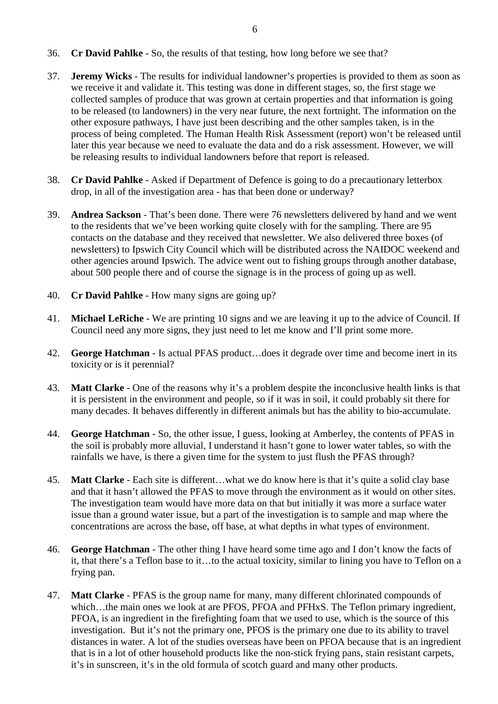- 36. **Cr David Pahlke** So, the results of that testing, how long before we see that?
- 37. **Jeremy Wicks** The results for individual landowner's properties is provided to them as soon as we receive it and validate it. This testing was done in different stages, so, the first stage we collected samples of produce that was grown at certain properties and that information is going to be released (to landowners) in the very near future, the next fortnight. The information on the other exposure pathways, I have just been describing and the other samples taken, is in the process of being completed. The Human Health Risk Assessment (report) won't be released until later this year because we need to evaluate the data and do a risk assessment. However, we will be releasing results to individual landowners before that report is released.
- 38. **Cr David Pahlke** Asked if Department of Defence is going to do a precautionary letterbox drop, in all of the investigation area - has that been done or underway?
- 39. **Andrea Sackson** That's been done. There were 76 newsletters delivered by hand and we went to the residents that we've been working quite closely with for the sampling. There are 95 contacts on the database and they received that newsletter. We also delivered three boxes (of newsletters) to Ipswich City Council which will be distributed across the NAIDOC weekend and other agencies around Ipswich. The advice went out to fishing groups through another database, about 500 people there and of course the signage is in the process of going up as well.
- 40. **Cr David Pahlke** How many signs are going up?
- 41. **Michael LeRiche**  We are printing 10 signs and we are leaving it up to the advice of Council. If Council need any more signs, they just need to let me know and I'll print some more.
- 42. **George Hatchman** Is actual PFAS product…does it degrade over time and become inert in its toxicity or is it perennial?
- 43. **Matt Clarke** One of the reasons why it's a problem despite the inconclusive health links is that it is persistent in the environment and people, so if it was in soil, it could probably sit there for many decades. It behaves differently in different animals but has the ability to bio-accumulate.
- 44. **George Hatchman** So, the other issue, I guess, looking at Amberley, the contents of PFAS in the soil is probably more alluvial, I understand it hasn't gone to lower water tables, so with the rainfalls we have, is there a given time for the system to just flush the PFAS through?
- 45. **Matt Clarke** Each site is different…what we do know here is that it's quite a solid clay base and that it hasn't allowed the PFAS to move through the environment as it would on other sites. The investigation team would have more data on that but initially it was more a surface water issue than a ground water issue, but a part of the investigation is to sample and map where the concentrations are across the base, off base, at what depths in what types of environment.
- 46. **George Hatchman** The other thing I have heard some time ago and I don't know the facts of it, that there's a Teflon base to it…to the actual toxicity, similar to lining you have to Teflon on a frying pan.
- 47. **Matt Clarke** PFAS is the group name for many, many different chlorinated compounds of which...the main ones we look at are PFOS, PFOA and PFHxS. The Teflon primary ingredient, PFOA, is an ingredient in the firefighting foam that we used to use, which is the source of this investigation. But it's not the primary one, PFOS is the primary one due to its ability to travel distances in water. A lot of the studies overseas have been on PFOA because that is an ingredient that is in a lot of other household products like the non-stick frying pans, stain resistant carpets, it's in sunscreen, it's in the old formula of scotch guard and many other products.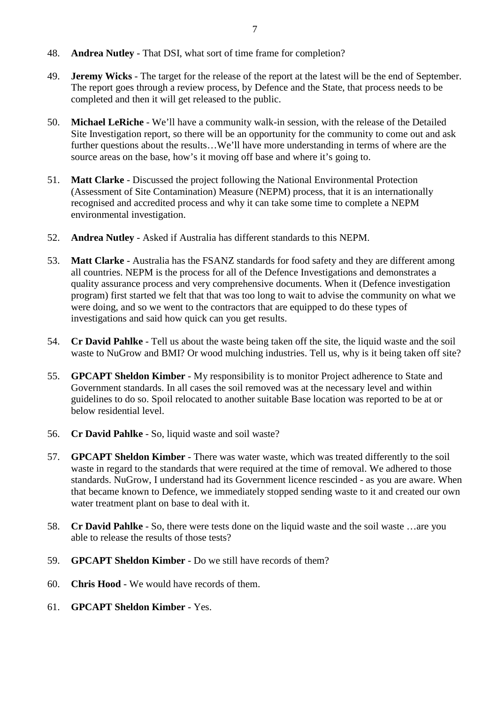- 48. **Andrea Nutley** That DSI, what sort of time frame for completion?
- 49. **Jeremy Wicks** The target for the release of the report at the latest will be the end of September. The report goes through a review process, by Defence and the State, that process needs to be completed and then it will get released to the public.
- 50. **Michael LeRiche** We'll have a community walk-in session, with the release of the Detailed Site Investigation report, so there will be an opportunity for the community to come out and ask further questions about the results…We'll have more understanding in terms of where are the source areas on the base, how's it moving off base and where it's going to.
- 51. **Matt Clarke** Discussed the project following the National Environmental Protection (Assessment of Site Contamination) Measure (NEPM) process, that it is an internationally recognised and accredited process and why it can take some time to complete a NEPM environmental investigation.
- 52. **Andrea Nutley** Asked if Australia has different standards to this NEPM.
- 53. **Matt Clarke** Australia has the FSANZ standards for food safety and they are different among all countries. NEPM is the process for all of the Defence Investigations and demonstrates a quality assurance process and very comprehensive documents. When it (Defence investigation program) first started we felt that that was too long to wait to advise the community on what we were doing, and so we went to the contractors that are equipped to do these types of investigations and said how quick can you get results.
- 54. **Cr David Pahlke** Tell us about the waste being taken off the site, the liquid waste and the soil waste to NuGrow and BMI? Or wood mulching industries. Tell us, why is it being taken off site?
- 55. **GPCAPT Sheldon Kimber** My responsibility is to monitor Project adherence to State and Government standards. In all cases the soil removed was at the necessary level and within guidelines to do so. Spoil relocated to another suitable Base location was reported to be at or below residential level.
- 56. **Cr David Pahlke** So, liquid waste and soil waste?
- 57. **GPCAPT Sheldon Kimber** There was water waste, which was treated differently to the soil waste in regard to the standards that were required at the time of removal. We adhered to those standards. NuGrow, I understand had its Government licence rescinded - as you are aware. When that became known to Defence, we immediately stopped sending waste to it and created our own water treatment plant on base to deal with it.
- 58. **Cr David Pahlke** So, there were tests done on the liquid waste and the soil waste …are you able to release the results of those tests?
- 59. **GPCAPT Sheldon Kimber** Do we still have records of them?
- 60. **Chris Hood** We would have records of them.
- 61. **GPCAPT Sheldon Kimber** Yes.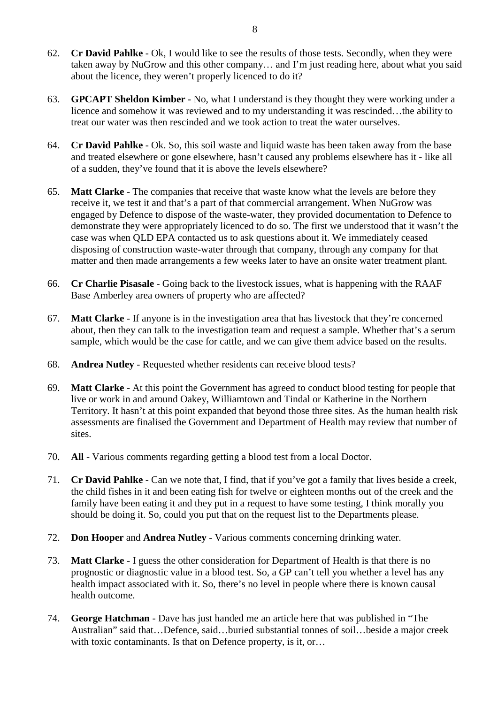- 62. **Cr David Pahlke** Ok, I would like to see the results of those tests. Secondly, when they were taken away by NuGrow and this other company… and I'm just reading here, about what you said about the licence, they weren't properly licenced to do it?
- 63. **GPCAPT Sheldon Kimber** No, what I understand is they thought they were working under a licence and somehow it was reviewed and to my understanding it was rescinded…the ability to treat our water was then rescinded and we took action to treat the water ourselves.
- 64. **Cr David Pahlke** Ok. So, this soil waste and liquid waste has been taken away from the base and treated elsewhere or gone elsewhere, hasn't caused any problems elsewhere has it - like all of a sudden, they've found that it is above the levels elsewhere?
- 65. **Matt Clarke** The companies that receive that waste know what the levels are before they receive it, we test it and that's a part of that commercial arrangement. When NuGrow was engaged by Defence to dispose of the waste-water, they provided documentation to Defence to demonstrate they were appropriately licenced to do so. The first we understood that it wasn't the case was when QLD EPA contacted us to ask questions about it. We immediately ceased disposing of construction waste-water through that company, through any company for that matter and then made arrangements a few weeks later to have an onsite water treatment plant.
- 66. **Cr Charlie Pisasale** Going back to the livestock issues, what is happening with the RAAF Base Amberley area owners of property who are affected?
- 67. **Matt Clarke** If anyone is in the investigation area that has livestock that they're concerned about, then they can talk to the investigation team and request a sample. Whether that's a serum sample, which would be the case for cattle, and we can give them advice based on the results.
- 68. **Andrea Nutley** Requested whether residents can receive blood tests?
- 69. **Matt Clarke** At this point the Government has agreed to conduct blood testing for people that live or work in and around Oakey, Williamtown and Tindal or Katherine in the Northern Territory. It hasn't at this point expanded that beyond those three sites. As the human health risk assessments are finalised the Government and Department of Health may review that number of sites.
- 70. **All** Various comments regarding getting a blood test from a local Doctor.
- 71. **Cr David Pahlke** Can we note that, I find, that if you've got a family that lives beside a creek, the child fishes in it and been eating fish for twelve or eighteen months out of the creek and the family have been eating it and they put in a request to have some testing, I think morally you should be doing it. So, could you put that on the request list to the Departments please.
- 72. **Don Hooper** and **Andrea Nutley** Various comments concerning drinking water.
- 73. **Matt Clarke** I guess the other consideration for Department of Health is that there is no prognostic or diagnostic value in a blood test. So, a GP can't tell you whether a level has any health impact associated with it. So, there's no level in people where there is known causal health outcome.
- 74. **George Hatchman** Dave has just handed me an article here that was published in "The Australian" said that…Defence, said…buried substantial tonnes of soil…beside a major creek with toxic contaminants. Is that on Defence property, is it, or…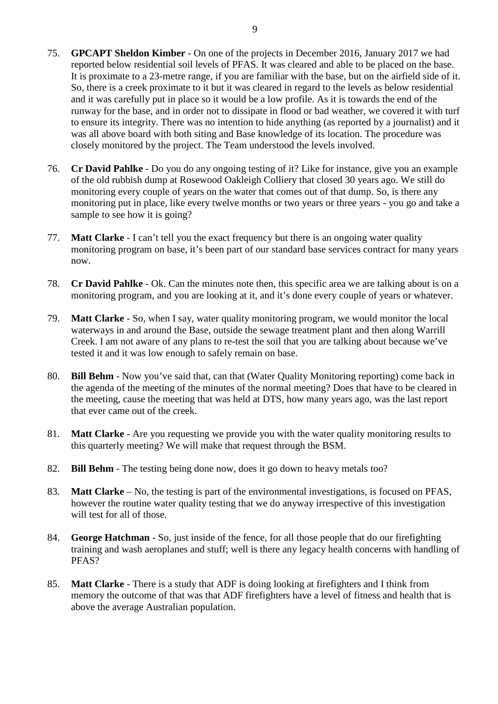- 75. **GPCAPT Sheldon Kimber** On one of the projects in December 2016, January 2017 we had reported below residential soil levels of PFAS. It was cleared and able to be placed on the base. It is proximate to a 23-metre range, if you are familiar with the base, but on the airfield side of it. So, there is a creek proximate to it but it was cleared in regard to the levels as below residential and it was carefully put in place so it would be a low profile. As it is towards the end of the runway for the base, and in order not to dissipate in flood or bad weather, we covered it with turf to ensure its integrity. There was no intention to hide anything (as reported by a journalist) and it was all above board with both siting and Base knowledge of its location. The procedure was closely monitored by the project. The Team understood the levels involved.
- 76. **Cr David Pahlke** Do you do any ongoing testing of it? Like for instance, give you an example of the old rubbish dump at Rosewood Oakleigh Colliery that closed 30 years ago. We still do monitoring every couple of years on the water that comes out of that dump. So, is there any monitoring put in place, like every twelve months or two years or three years - you go and take a sample to see how it is going?
- 77. **Matt Clarke** I can't tell you the exact frequency but there is an ongoing water quality monitoring program on base, it's been part of our standard base services contract for many years now.
- 78. **Cr David Pahlke** Ok. Can the minutes note then, this specific area we are talking about is on a monitoring program, and you are looking at it, and it's done every couple of years or whatever.
- 79. **Matt Clarke** So, when I say, water quality monitoring program, we would monitor the local waterways in and around the Base, outside the sewage treatment plant and then along Warrill Creek. I am not aware of any plans to re-test the soil that you are talking about because we've tested it and it was low enough to safely remain on base.
- 80. **Bill Behm** Now you've said that, can that (Water Quality Monitoring reporting) come back in the agenda of the meeting of the minutes of the normal meeting? Does that have to be cleared in the meeting, cause the meeting that was held at DTS, how many years ago, was the last report that ever came out of the creek.
- 81. **Matt Clarke** Are you requesting we provide you with the water quality monitoring results to this quarterly meeting? We will make that request through the BSM.
- 82. **Bill Behm** The testing being done now, does it go down to heavy metals too?
- 83. **Matt Clarke** No, the testing is part of the environmental investigations, is focused on PFAS, however the routine water quality testing that we do anyway irrespective of this investigation will test for all of those.
- 84. **George Hatchman** So, just inside of the fence, for all those people that do our firefighting training and wash aeroplanes and stuff; well is there any legacy health concerns with handling of PFAS?
- 85. **Matt Clarke** There is a study that ADF is doing looking at firefighters and I think from memory the outcome of that was that ADF firefighters have a level of fitness and health that is above the average Australian population.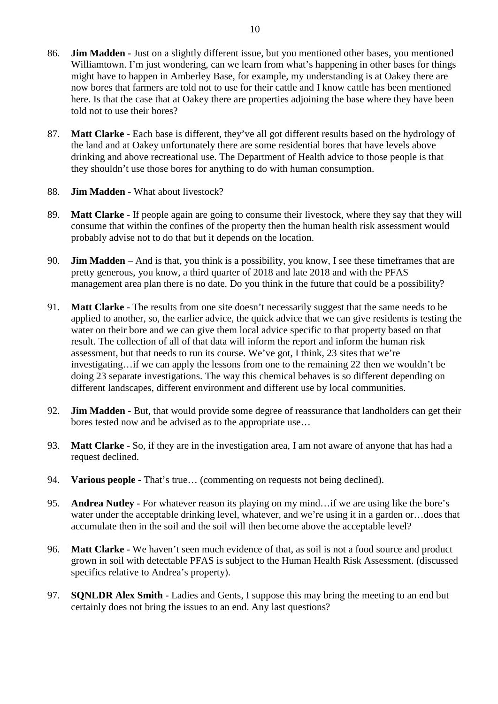- 86. **Jim Madden** Just on a slightly different issue, but you mentioned other bases, you mentioned Williamtown. I'm just wondering, can we learn from what's happening in other bases for things might have to happen in Amberley Base, for example, my understanding is at Oakey there are now bores that farmers are told not to use for their cattle and I know cattle has been mentioned here. Is that the case that at Oakey there are properties adjoining the base where they have been told not to use their bores?
- 87. **Matt Clarke** Each base is different, they've all got different results based on the hydrology of the land and at Oakey unfortunately there are some residential bores that have levels above drinking and above recreational use. The Department of Health advice to those people is that they shouldn't use those bores for anything to do with human consumption.
- 88. **Jim Madden** What about livestock?
- 89. **Matt Clarke** If people again are going to consume their livestock, where they say that they will consume that within the confines of the property then the human health risk assessment would probably advise not to do that but it depends on the location.
- 90. **Jim Madden** And is that, you think is a possibility, you know, I see these timeframes that are pretty generous, you know, a third quarter of 2018 and late 2018 and with the PFAS management area plan there is no date. Do you think in the future that could be a possibility?
- 91. **Matt Clarke** The results from one site doesn't necessarily suggest that the same needs to be applied to another, so, the earlier advice, the quick advice that we can give residents is testing the water on their bore and we can give them local advice specific to that property based on that result. The collection of all of that data will inform the report and inform the human risk assessment, but that needs to run its course. We've got, I think, 23 sites that we're investigating…if we can apply the lessons from one to the remaining 22 then we wouldn't be doing 23 separate investigations. The way this chemical behaves is so different depending on different landscapes, different environment and different use by local communities.
- 92. **Jim Madden** But, that would provide some degree of reassurance that landholders can get their bores tested now and be advised as to the appropriate use…
- 93. **Matt Clarke** So, if they are in the investigation area, I am not aware of anyone that has had a request declined.
- 94. **Various people -** That's true… (commenting on requests not being declined).
- 95. **Andrea Nutley** For whatever reason its playing on my mind…if we are using like the bore's water under the acceptable drinking level, whatever, and we're using it in a garden or…does that accumulate then in the soil and the soil will then become above the acceptable level?
- 96. **Matt Clarke** We haven't seen much evidence of that, as soil is not a food source and product grown in soil with detectable PFAS is subject to the Human Health Risk Assessment. (discussed specifics relative to Andrea's property).
- 97. **SQNLDR Alex Smith** Ladies and Gents, I suppose this may bring the meeting to an end but certainly does not bring the issues to an end. Any last questions?